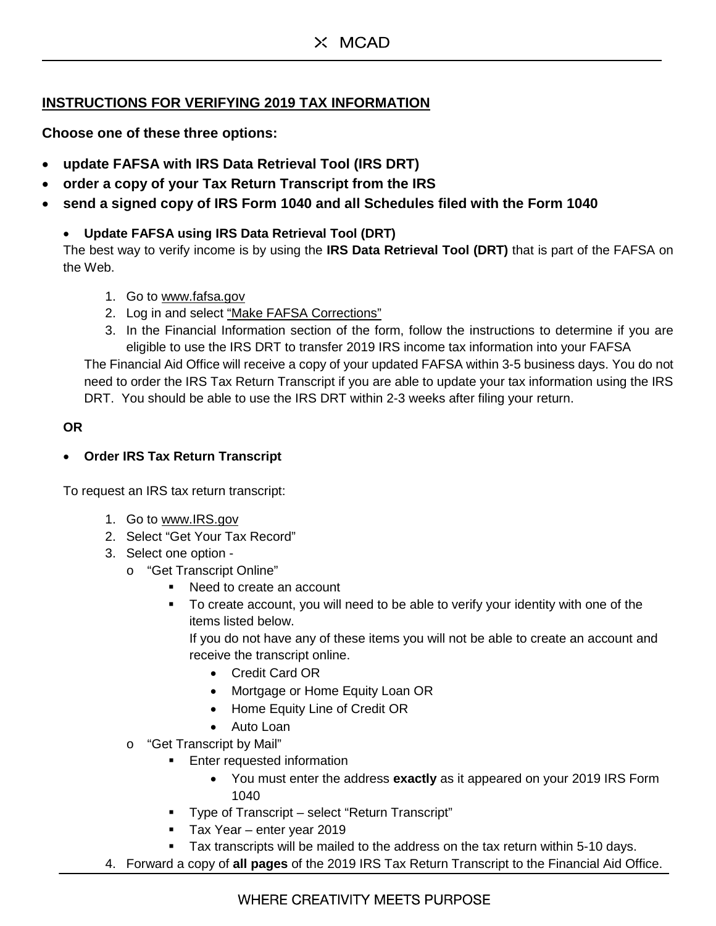# $\times$  MCAD

## **INSTRUCTIONS FOR VERIFYING 2019 TAX INFORMATION**

**Choose one of these three options:**

- **update FAFSA with IRS Data Retrieval Tool (IRS DRT)**
- **order a copy of your Tax Return Transcript from the IRS**
- **send a signed copy of IRS Form 1040 and all Schedules filed with the Form 1040**

### • **Update FAFSA using IRS Data Retrieval Tool (DRT)**

The best way to verify income is by using the **IRS Data Retrieval Tool (DRT)** that is part of the FAFSA on the Web.

- 1. Go to [www.fafsa.gov](http://www.fafsa.gov/)
- 2. Log in and select "Make FAFSA Corrections"
- 3. In the Financial Information section of the form, follow the instructions to determine if you are eligible to use the IRS DRT to transfer 2019 IRS income tax information into your FAFSA

The Financial Aid Office will receive a copy of your updated FAFSA within 3-5 business days. You do not need to order the IRS Tax Return Transcript if you are able to update your tax information using the IRS DRT. You should be able to use the IRS DRT within 2-3 weeks after filing your return.

#### **OR**

### • **Order IRS Tax Return Transcript**

To request an IRS tax return transcript:

- 1. Go to [www.IRS.gov](http://www.irs.gov/)
- 2. Select "Get Your Tax Record"
- 3. Select one option
	- o "Get Transcript Online"
		- Need to create an account
		- To create account, you will need to be able to verify your identity with one of the items listed below.

If you do not have any of these items you will not be able to create an account and receive the transcript online.

- Credit Card OR
- Mortgage or Home Equity Loan OR
- Home Equity Line of Credit OR
- Auto Loan
- o "Get Transcript by Mail"
	- **Enter requested information** 
		- You must enter the address **exactly** as it appeared on your 2019 IRS Form 1040
	- **Type of Transcript select "Return Transcript"**
	- Tax Year enter year 2019
	- Tax transcripts will be mailed to the address on the tax return within 5-10 days.
- 4. Forward a copy of **all pages** of the 2019 IRS Tax Return Transcript to the Financial Aid Office.